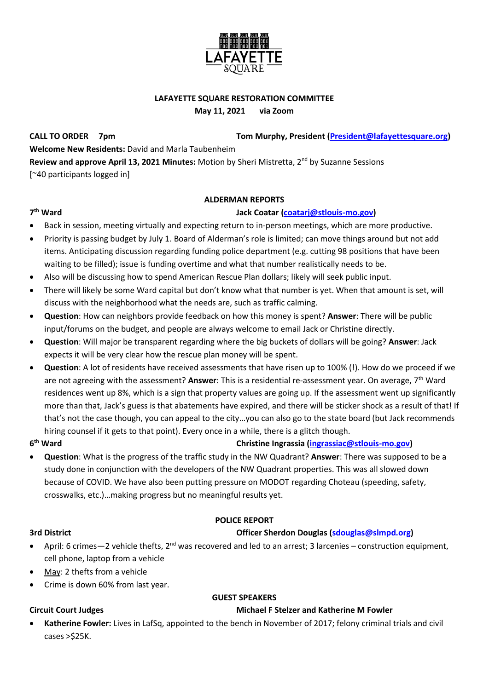

## **LAFAYETTE SQUARE RESTORATION COMMITTEE**

**May 11, 2021 via Zoom**

**CALL TO ORDER 7pm Tom Murphy, President [\(President@lafayettesquare.org\)](mailto:President@lafayettesquare.org) Welcome New Residents:** David and Marla Taubenheim **Review and approve April 13, 2021 Minutes:** Motion by Sheri Mistretta, 2nd by Suzanne Sessions [~40 participants logged in]

### **ALDERMAN REPORTS**

## **th Ward Jack Coatar [\(coatarj@stlouis-mo.gov\)](mailto:coatarj@stlouis-mo.gov)**

- Back in session, meeting virtually and expecting return to in-person meetings, which are more productive.
	- Priority is passing budget by July 1. Board of Alderman's role is limited; can move things around but not add items. Anticipating discussion regarding funding police department (e.g. cutting 98 positions that have been waiting to be filled); issue is funding overtime and what that number realistically needs to be.
- Also will be discussing how to spend American Rescue Plan dollars; likely will seek public input.
- There will likely be some Ward capital but don't know what that number is yet. When that amount is set, will discuss with the neighborhood what the needs are, such as traffic calming.
- **Question**: How can neighbors provide feedback on how this money is spent? **Answer**: There will be public input/forums on the budget, and people are always welcome to email Jack or Christine directly.
- **Question**: Will major be transparent regarding where the big buckets of dollars will be going? **Answer**: Jack expects it will be very clear how the rescue plan money will be spent.
- **Question**: A lot of residents have received assessments that have risen up to 100% (!). How do we proceed if we are not agreeing with the assessment? Answer: This is a residential re-assessment year. On average, 7<sup>th</sup> Ward residences went up 8%, which is a sign that property values are going up. If the assessment went up significantly more than that, Jack's guess is that abatements have expired, and there will be sticker shock as a result of that! If that's not the case though, you can appeal to the city…you can also go to the state board (but Jack recommends hiring counsel if it gets to that point). Every once in a while, there is a glitch though.
- **6**

7<sup>th</sup> Ward

## **christine Ingrassia [\(ingrassiac@stlouis-mo.gov\)](mailto:ingrassiac@stlouis-mo.gov)**

• **Question**: What is the progress of the traffic study in the NW Quadrant? **Answer**: There was supposed to be a study done in conjunction with the developers of the NW Quadrant properties. This was all slowed down because of COVID. We have also been putting pressure on MODOT regarding Choteau (speeding, safety, crosswalks, etc.)…making progress but no meaningful results yet.

### **POLICE REPORT**

### **3rd District Officer Sherdon Douglas [\(sdouglas@slmpd.org\)](mailto:sdouglas@slmpd.org)**

- April: 6 crimes—2 vehicle thefts,  $2^{nd}$  was recovered and led to an arrest; 3 larcenies construction equipment, cell phone, laptop from a vehicle
- May: 2 thefts from a vehicle
- Crime is down 60% from last year.

## **GUEST SPEAKERS**

### **Circuit Court Judges Michael F Stelzer and Katherine M Fowler**

• **Katherine Fowler:** Lives in LafSq, appointed to the bench in November of 2017; felony criminal trials and civil cases >\$25K.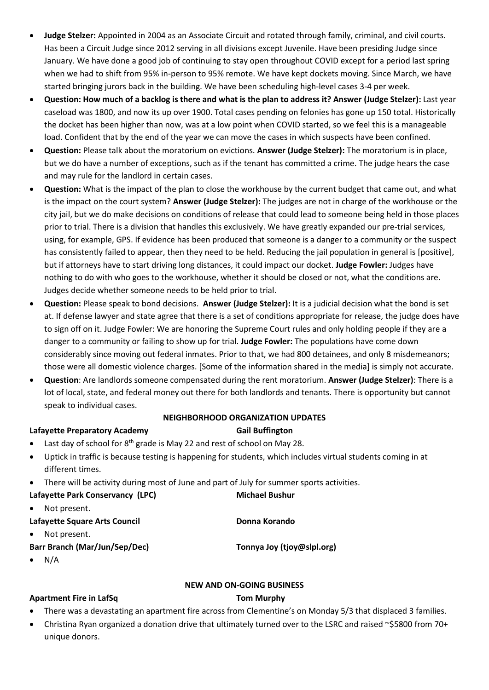- **Judge Stelzer:** Appointed in 2004 as an Associate Circuit and rotated through family, criminal, and civil courts. Has been a Circuit Judge since 2012 serving in all divisions except Juvenile. Have been presiding Judge since January. We have done a good job of continuing to stay open throughout COVID except for a period last spring when we had to shift from 95% in-person to 95% remote. We have kept dockets moving. Since March, we have started bringing jurors back in the building. We have been scheduling high-level cases 3-4 per week.
- **Question: How much of a backlog is there and what is the plan to address it? Answer (Judge Stelzer):** Last year caseload was 1800, and now its up over 1900. Total cases pending on felonies has gone up 150 total. Historically the docket has been higher than now, was at a low point when COVID started, so we feel this is a manageable load. Confident that by the end of the year we can move the cases in which suspects have been confined.
- **Question:** Please talk about the moratorium on evictions. **Answer (Judge Stelzer):** The moratorium is in place, but we do have a number of exceptions, such as if the tenant has committed a crime. The judge hears the case and may rule for the landlord in certain cases.
- **Question:** What is the impact of the plan to close the workhouse by the current budget that came out, and what is the impact on the court system? **Answer (Judge Stelzer):** The judges are not in charge of the workhouse or the city jail, but we do make decisions on conditions of release that could lead to someone being held in those places prior to trial. There is a division that handles this exclusively. We have greatly expanded our pre-trial services, using, for example, GPS. If evidence has been produced that someone is a danger to a community or the suspect has consistently failed to appear, then they need to be held. Reducing the jail population in general is [positive], but if attorneys have to start driving long distances, it could impact our docket. **Judge Fowler:** Judges have nothing to do with who goes to the workhouse, whether it should be closed or not, what the conditions are. Judges decide whether someone needs to be held prior to trial.
- **Question:** Please speak to bond decisions. **Answer (Judge Stelzer):** It is a judicial decision what the bond is set at. If defense lawyer and state agree that there is a set of conditions appropriate for release, the judge does have to sign off on it. Judge Fowler: We are honoring the Supreme Court rules and only holding people if they are a danger to a community or failing to show up for trial. **Judge Fowler:** The populations have come down considerably since moving out federal inmates. Prior to that, we had 800 detainees, and only 8 misdemeanors; those were all domestic violence charges. [Some of the information shared in the media] is simply not accurate.
- **Question**: Are landlords someone compensated during the rent moratorium. **Answer (Judge Stelzer)**: There is a lot of local, state, and federal money out there for both landlords and tenants. There is opportunity but cannot speak to individual cases.

## **NEIGHBORHOOD ORGANIZATION UPDATES**

### Lafayette Preparatory Academy **Gail Buffington**

- Last day of school for 8<sup>th</sup> grade is May 22 and rest of school on May 28.
- Uptick in traffic is because testing is happening for students, which includes virtual students coming in at different times.
- There will be activity during most of June and part of July for summer sports activities.

| Lafayette Park Conservancy (LPC) | <b>Michael Bushur</b>      |
|----------------------------------|----------------------------|
| Not present.<br>$\bullet$        |                            |
| Lafayette Square Arts Council    | Donna Korando              |
| Not present.<br>$\bullet$        |                            |
| Barr Branch (Mar/Jun/Sep/Dec)    | Tonnya Joy (tjoy@slpl.org) |

 $N/A$ 

### **NEW AND ON-GOING BUSINESS**

### **Apartment Fire in LafSq Tom Murphy**

- There was a devastating an apartment fire across from Clementine's on Monday 5/3 that displaced 3 families.
- Christina Ryan organized a donation drive that ultimately turned over to the LSRC and raised ~\$5800 from 70+ unique donors.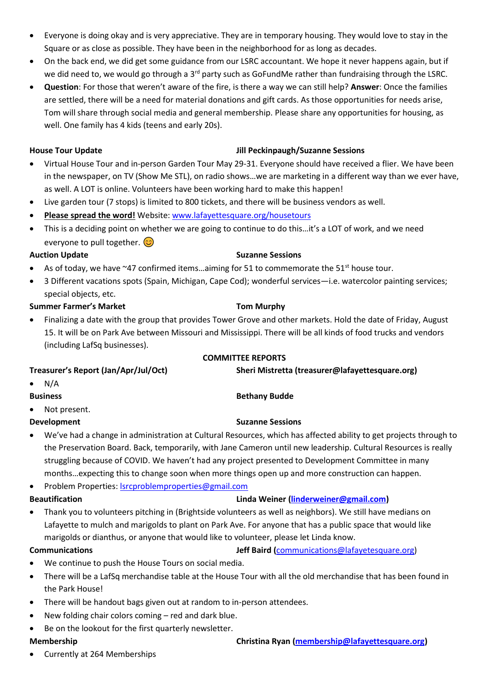• Currently at 264 Memberships

### • Everyone is doing okay and is very appreciative. They are in temporary housing. They would love to stay in the Square or as close as possible. They have been in the neighborhood for as long as decades.

- On the back end, we did get some guidance from our LSRC accountant. We hope it never happens again, but if we did need to, we would go through a 3<sup>rd</sup> party such as GoFundMe rather than fundraising through the LSRC.
- **Question**: For those that weren't aware of the fire, is there a way we can still help? **Answer**: Once the families are settled, there will be a need for material donations and gift cards. As those opportunities for needs arise, Tom will share through social media and general membership. Please share any opportunities for housing, as well. One family has 4 kids (teens and early 20s).

- **House Tour Update Jill Peckinpaugh/Suzanne Sessions**
- Virtual House Tour and in-person Garden Tour May 29-31. Everyone should have received a flier. We have been in the newspaper, on TV (Show Me STL), on radio shows…we are marketing in a different way than we ever have, as well. A LOT is online. Volunteers have been working hard to make this happen!
- Live garden tour (7 stops) is limited to 800 tickets, and there will be business vendors as well.
- **Please spread the word!** Website: [www.lafayettesquare.org/housetours](http://www.lafayettesquare.org/housetours)
- This is a deciding point on whether we are going to continue to do this…it's a LOT of work, and we need everyone to pull together.  $\circled{c}$

## **Auction Update Suzanne Sessions**

- As of today, we have  $\sim$  47 confirmed items...aiming for 51 to commemorate the 51st house tour.
- 3 Different vacations spots (Spain, Michigan, Cape Cod); wonderful services—i.e. watercolor painting services; special objects, etc.

# **Summer Farmer's Market**  Tom Murphy

• Finalizing a date with the group that provides Tower Grove and other markets. Hold the date of Friday, August 15. It will be on Park Ave between Missouri and Mississippi. There will be all kinds of food trucks and vendors (including LafSq businesses).

# **COMMITTEE REPORTS**

**Treasurer's Report (Jan/Apr/Jul/Oct) Sheri Mistretta (treasurer@lafayettesquare.org)**  $N/A$ **Business Bethany Budde** Not present. **Development Suzanne Sessions Suzanne Sessions** • We've had a change in administration at Cultural Resources, which has affected ability to get projects through to

- the Preservation Board. Back, temporarily, with Jane Cameron until new leadership. Cultural Resources is really struggling because of COVID. We haven't had any project presented to Development Committee in many months…expecting this to change soon when more things open up and more construction can happen.
- Problem Properties: [lsrcproblemproperties@gmail.com](mailto:lsrcproblemproperties@gmail.com)

- **Beautification Linda Weiner [\(linderweiner@gmail.com\)](mailto:linderweiner@gmail.com)**
- Thank you to volunteers pitching in (Brightside volunteers as well as neighbors). We still have medians on Lafayette to mulch and marigolds to plant on Park Ave. For anyone that has a public space that would like marigolds or dianthus, or anyone that would like to volunteer, please let Linda know.

## **Communications Jeff Baird (**[communications@lafayetesquare.org\)](mailto:communications@lafayetesquare.org)

- We continue to push the House Tours on social media.
- There will be a LafSq merchandise table at the House Tour with all the old merchandise that has been found in the Park House!
- There will be handout bags given out at random to in-person attendees.
- New folding chair colors coming red and dark blue.
- Be on the lookout for the first quarterly newsletter.

# **Membership Christina Ryan [\(membership@lafayettesquare.org\)](mailto:membership@lafayettesquare.org)**